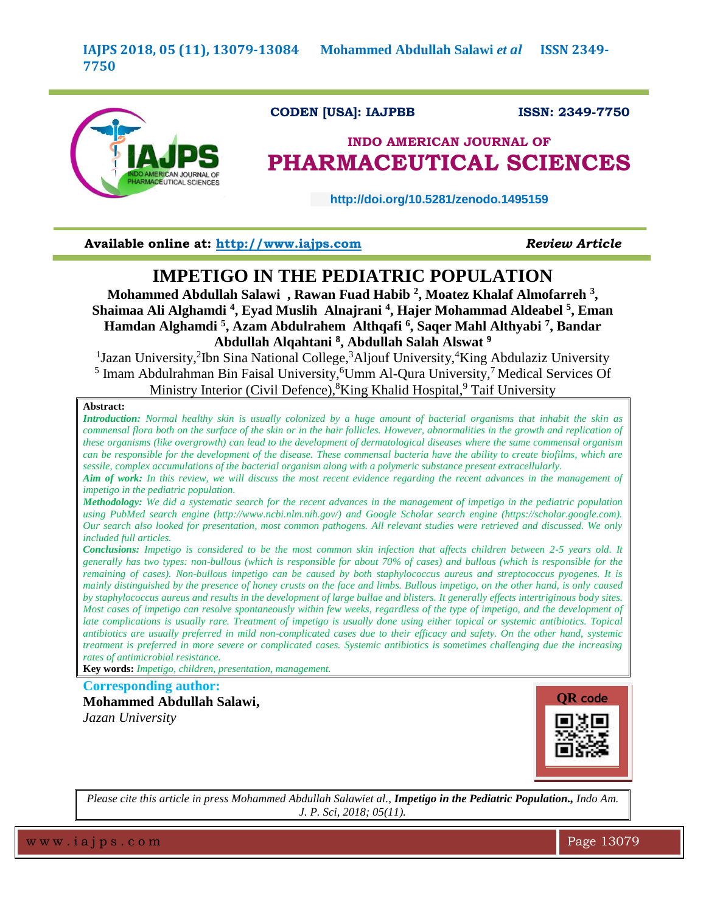

# **CODEN [USA]: IAJPBB ISSN: 2349-7750**

# **INDO AMERICAN JOURNAL OF PHARMACEUTICAL SCIENCES**

 **http://doi.org/10.5281/zenodo.1495159** 

**Available online at: [http://www.iajps.com](http://www.iajps.com/)** *Review Article*

# **IMPETIGO IN THE PEDIATRIC POPULATION**

**Mohammed Abdullah Salawi , Rawan Fuad Habib <sup>2</sup> , Moatez Khalaf Almofarreh <sup>3</sup> , Shaimaa Ali Alghamdi <sup>4</sup> , Eyad Muslih Alnajrani <sup>4</sup> , Hajer Mohammad Aldeabel <sup>5</sup> , Eman Hamdan Alghamdi <sup>5</sup> , Azam Abdulrahem Althqafi <sup>6</sup> , Saqer Mahl Althyabi <sup>7</sup> , Bandar Abdullah Alqahtani <sup>8</sup> , Abdullah Salah Alswat <sup>9</sup>**

<sup>1</sup>Jazan University,<sup>2</sup>Ibn Sina National College,<sup>3</sup>Aljouf University,<sup>4</sup>King Abdulaziz University <sup>5</sup> Imam Abdulrahman Bin Faisal University, <sup>6</sup>Umm Al-Qura University,<sup>7</sup> Medical Services Of Ministry Interior (Civil Defence), <sup>8</sup>King Khalid Hospital, <sup>9</sup> Taif University

#### **Abstract:**

*Introduction: Normal healthy skin is usually colonized by a huge amount of bacterial organisms that inhabit the skin as commensal flora both on the surface of the skin or in the hair follicles. However, abnormalities in the growth and replication of these organisms (like overgrowth) can lead to the development of dermatological diseases where the same commensal organism can be responsible for the development of the disease. These commensal bacteria have the ability to create biofilms, which are sessile, complex accumulations of the bacterial organism along with a polymeric substance present extracellularly.*

*Aim of work: In this review, we will discuss the most recent evidence regarding the recent advances in the management of impetigo in the pediatric population.*

*Methodology: We did a systematic search for the recent advances in the management of impetigo in the pediatric population using PubMed search engine (http://www.ncbi.nlm.nih.gov/) and Google Scholar search engine (https://scholar.google.com). Our search also looked for presentation, most common pathogens. All relevant studies were retrieved and discussed. We only included full articles.*

*Conclusions: Impetigo is considered to be the most common skin infection that affects children between 2-5 years old. It generally has two types: non-bullous (which is responsible for about 70% of cases) and bullous (which is responsible for the remaining of cases). Non-bullous impetigo can be caused by both staphylococcus aureus and streptococcus pyogenes. It is mainly distinguished by the presence of honey crusts on the face and limbs. Bullous impetigo, on the other hand, is only caused by staphylococcus aureus and results in the development of large bullae and blisters. It generally effects intertriginous body sites. Most cases of impetigo can resolve spontaneously within few weeks, regardless of the type of impetigo, and the development of late complications is usually rare. Treatment of impetigo is usually done using either topical or systemic antibiotics. Topical antibiotics are usually preferred in mild non-complicated cases due to their efficacy and safety. On the other hand, systemic treatment is preferred in more severe or complicated cases. Systemic antibiotics is sometimes challenging due the increasing rates of antimicrobial resistance.*

**Key words:** *Impetigo, children, presentation, management.*

**Corresponding author:** 

**Mohammed Abdullah Salawi,** *Jazan University*



*Please cite this article in press Mohammed Abdullah Salawiet al., Impetigo in the Pediatric Population., Indo Am. J. P. Sci, 2018; 05(11).*

w w w . i a j p s . c o m  $\blacksquare$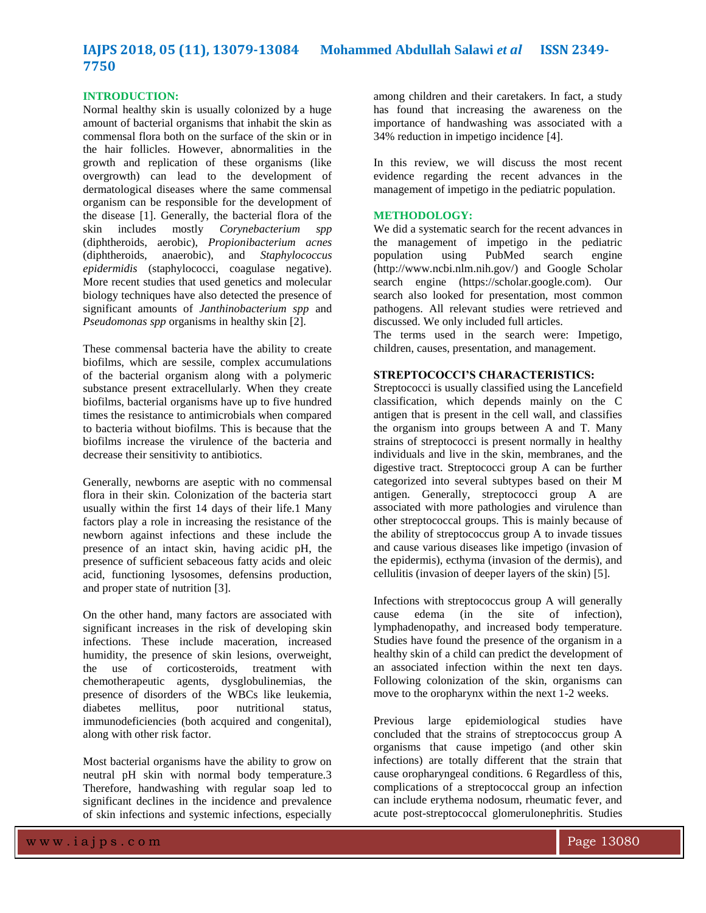#### **INTRODUCTION:**

Normal healthy skin is usually colonized by a huge amount of bacterial organisms that inhabit the skin as commensal flora both on the surface of the skin or in the hair follicles. However, abnormalities in the growth and replication of these organisms (like overgrowth) can lead to the development of dermatological diseases where the same commensal organism can be responsible for the development of the disease [1]. Generally, the bacterial flora of the skin includes mostly *Corynebacterium spp*  (diphtheroids, aerobic), *Propionibacterium acnes*  (diphtheroids, anaerobic), and *Staphylococcus epidermidis* (staphylococci, coagulase negative). More recent studies that used genetics and molecular biology techniques have also detected the presence of significant amounts of *Janthinobacterium spp* and *Pseudomonas spp* organisms in healthy skin [2].

These commensal bacteria have the ability to create biofilms, which are sessile, complex accumulations of the bacterial organism along with a polymeric substance present extracellularly. When they create biofilms, bacterial organisms have up to five hundred times the resistance to antimicrobials when compared to bacteria without biofilms. This is because that the biofilms increase the virulence of the bacteria and decrease their sensitivity to antibiotics.

Generally, newborns are aseptic with no commensal flora in their skin. Colonization of the bacteria start usually within the first 14 days of their life.1 Many factors play a role in increasing the resistance of the newborn against infections and these include the presence of an intact skin, having acidic pH, the presence of sufficient sebaceous fatty acids and oleic acid, functioning lysosomes, defensins production, and proper state of nutrition [3].

On the other hand, many factors are associated with significant increases in the risk of developing skin infections. These include maceration, increased humidity, the presence of skin lesions, overweight, the use of corticosteroids, treatment with chemotherapeutic agents, dysglobulinemias, the presence of disorders of the WBCs like leukemia, diabetes mellitus, poor nutritional status, immunodeficiencies (both acquired and congenital), along with other risk factor.

Most bacterial organisms have the ability to grow on neutral pH skin with normal body temperature.3 Therefore, handwashing with regular soap led to significant declines in the incidence and prevalence of skin infections and systemic infections, especially among children and their caretakers. In fact, a study has found that increasing the awareness on the importance of handwashing was associated with a 34% reduction in impetigo incidence [4].

In this review, we will discuss the most recent evidence regarding the recent advances in the management of impetigo in the pediatric population.

# **METHODOLOGY:**

We did a systematic search for the recent advances in the management of impetigo in the pediatric<br>population using PubMed search engine population using PubMed search engine (http://www.ncbi.nlm.nih.gov/) and Google Scholar search engine (https://scholar.google.com). Our search also looked for presentation, most common pathogens. All relevant studies were retrieved and discussed. We only included full articles.

The terms used in the search were: Impetigo, children, causes, presentation, and management.

## **STREPTOCOCCI'S CHARACTERISTICS:**

Streptococci is usually classified using the Lancefield classification, which depends mainly on the C antigen that is present in the cell wall, and classifies the organism into groups between A and T. Many strains of streptococci is present normally in healthy individuals and live in the skin, membranes, and the digestive tract. Streptococci group A can be further categorized into several subtypes based on their M antigen. Generally, streptococci group A are associated with more pathologies and virulence than other streptococcal groups. This is mainly because of the ability of streptococcus group A to invade tissues and cause various diseases like impetigo (invasion of the epidermis), ecthyma (invasion of the dermis), and cellulitis (invasion of deeper layers of the skin) [5].

Infections with streptococcus group A will generally cause edema (in the site of infection), lymphadenopathy, and increased body temperature. Studies have found the presence of the organism in a healthy skin of a child can predict the development of an associated infection within the next ten days. Following colonization of the skin, organisms can move to the oropharynx within the next 1-2 weeks.

Previous large epidemiological studies have concluded that the strains of streptococcus group A organisms that cause impetigo (and other skin infections) are totally different that the strain that cause oropharyngeal conditions. 6 Regardless of this, complications of a streptococcal group an infection can include erythema nodosum, rheumatic fever, and acute post-streptococcal glomerulonephritis. Studies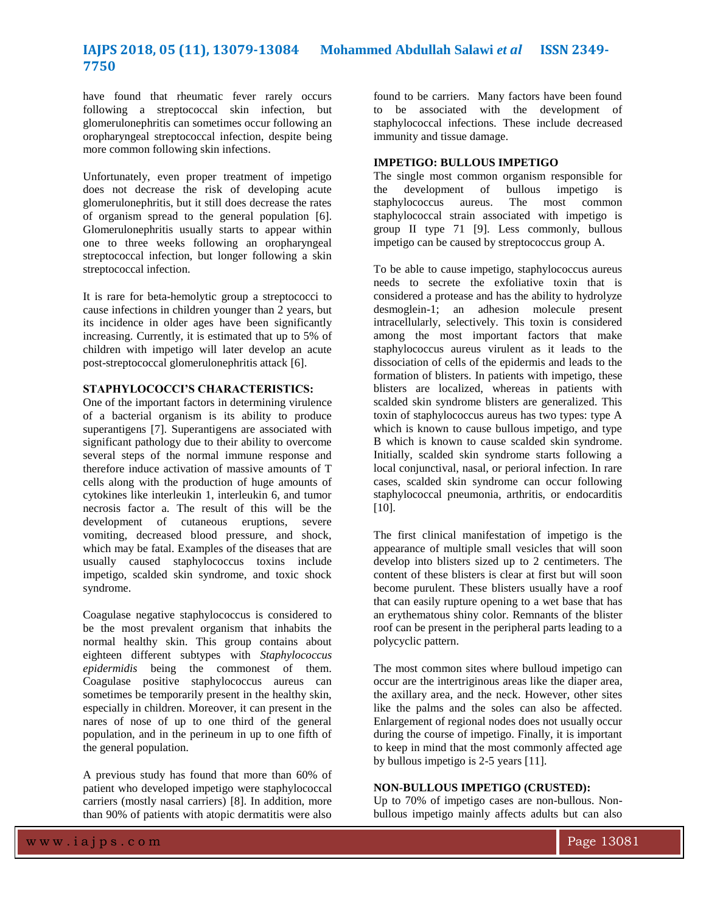have found that rheumatic fever rarely occurs following a streptococcal skin infection, but glomerulonephritis can sometimes occur following an oropharyngeal streptococcal infection, despite being more common following skin infections.

Unfortunately, even proper treatment of impetigo does not decrease the risk of developing acute glomerulonephritis, but it still does decrease the rates of organism spread to the general population [6]. Glomerulonephritis usually starts to appear within one to three weeks following an oropharyngeal streptococcal infection, but longer following a skin streptococcal infection.

It is rare for beta-hemolytic group a streptococci to cause infections in children younger than 2 years, but its incidence in older ages have been significantly increasing. Currently, it is estimated that up to 5% of children with impetigo will later develop an acute post-streptococcal glomerulonephritis attack [6].

### **STAPHYLOCOCCI'S CHARACTERISTICS:**

One of the important factors in determining virulence of a bacterial organism is its ability to produce superantigens [7]. Superantigens are associated with significant pathology due to their ability to overcome several steps of the normal immune response and therefore induce activation of massive amounts of T cells along with the production of huge amounts of cytokines like interleukin 1, interleukin 6, and tumor necrosis factor a. The result of this will be the development of cutaneous eruptions, severe vomiting, decreased blood pressure, and shock, which may be fatal. Examples of the diseases that are usually caused staphylococcus toxins include impetigo, scalded skin syndrome, and toxic shock syndrome.

Coagulase negative staphylococcus is considered to be the most prevalent organism that inhabits the normal healthy skin. This group contains about eighteen different subtypes with *Staphylococcus epidermidis* being the commonest of them. Coagulase positive staphylococcus aureus can sometimes be temporarily present in the healthy skin, especially in children. Moreover, it can present in the nares of nose of up to one third of the general population, and in the perineum in up to one fifth of the general population.

A previous study has found that more than 60% of patient who developed impetigo were staphylococcal carriers (mostly nasal carriers) [8]. In addition, more than 90% of patients with atopic dermatitis were also

found to be carriers. Many factors have been found to be associated with the development of staphylococcal infections. These include decreased immunity and tissue damage.

#### **IMPETIGO: BULLOUS IMPETIGO**

The single most common organism responsible for the development of bullous impetigo is staphylococcus aureus. The most common staphylococcal strain associated with impetigo is group II type 71 [9]. Less commonly, bullous impetigo can be caused by streptococcus group A.

To be able to cause impetigo, staphylococcus aureus needs to secrete the exfoliative toxin that is considered a protease and has the ability to hydrolyze desmoglein-1; an adhesion molecule present intracellularly, selectively. This toxin is considered among the most important factors that make staphylococcus aureus virulent as it leads to the dissociation of cells of the epidermis and leads to the formation of blisters. In patients with impetigo, these blisters are localized, whereas in patients with scalded skin syndrome blisters are generalized. This toxin of staphylococcus aureus has two types: type A which is known to cause bullous impetigo, and type B which is known to cause scalded skin syndrome. Initially, scalded skin syndrome starts following a local conjunctival, nasal, or perioral infection. In rare cases, scalded skin syndrome can occur following staphylococcal pneumonia, arthritis, or endocarditis  $[10]$ .

The first clinical manifestation of impetigo is the appearance of multiple small vesicles that will soon develop into blisters sized up to 2 centimeters. The content of these blisters is clear at first but will soon become purulent. These blisters usually have a roof that can easily rupture opening to a wet base that has an erythematous shiny color. Remnants of the blister roof can be present in the peripheral parts leading to a polycyclic pattern.

The most common sites where bulloud impetigo can occur are the intertriginous areas like the diaper area, the axillary area, and the neck. However, other sites like the palms and the soles can also be affected. Enlargement of regional nodes does not usually occur during the course of impetigo. Finally, it is important to keep in mind that the most commonly affected age by bullous impetigo is 2-5 years [11].

# **NON-BULLOUS IMPETIGO (CRUSTED):**

Up to 70% of impetigo cases are non-bullous. Nonbullous impetigo mainly affects adults but can also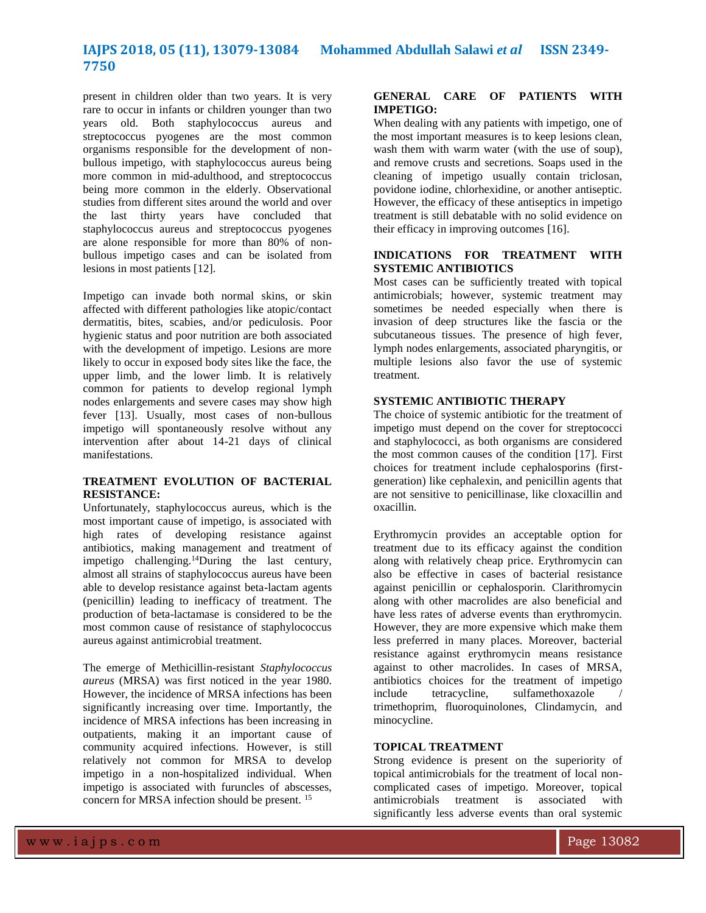present in children older than two years. It is very rare to occur in infants or children younger than two years old. Both staphylococcus aureus and streptococcus pyogenes are the most common organisms responsible for the development of nonbullous impetigo, with staphylococcus aureus being more common in mid-adulthood, and streptococcus being more common in the elderly. Observational studies from different sites around the world and over the last thirty years have concluded that staphylococcus aureus and streptococcus pyogenes are alone responsible for more than 80% of nonbullous impetigo cases and can be isolated from lesions in most patients [12].

Impetigo can invade both normal skins, or skin affected with different pathologies like atopic/contact dermatitis, bites, scabies, and/or pediculosis. Poor hygienic status and poor nutrition are both associated with the development of impetigo. Lesions are more likely to occur in exposed body sites like the face, the upper limb, and the lower limb. It is relatively common for patients to develop regional lymph nodes enlargements and severe cases may show high fever [13]. Usually, most cases of non-bullous impetigo will spontaneously resolve without any intervention after about 14-21 days of clinical manifestations.

## **TREATMENT EVOLUTION OF BACTERIAL RESISTANCE:**

Unfortunately, staphylococcus aureus, which is the most important cause of impetigo, is associated with high rates of developing resistance against antibiotics, making management and treatment of impetigo challenging.<sup>14</sup>During the last century, almost all strains of staphylococcus aureus have been able to develop resistance against beta-lactam agents (penicillin) leading to inefficacy of treatment. The production of beta-lactamase is considered to be the most common cause of resistance of staphylococcus aureus against antimicrobial treatment.

The emerge of Methicillin-resistant *Staphylococcus aureus* (MRSA) was first noticed in the year 1980. However, the incidence of MRSA infections has been significantly increasing over time. Importantly, the incidence of MRSA infections has been increasing in outpatients, making it an important cause of community acquired infections. However, is still relatively not common for MRSA to develop impetigo in a non-hospitalized individual. When impetigo is associated with furuncles of abscesses, concern for MRSA infection should be present. <sup>15</sup>

## **GENERAL CARE OF PATIENTS WITH IMPETIGO:**

When dealing with any patients with impetigo, one of the most important measures is to keep lesions clean, wash them with warm water (with the use of soup). and remove crusts and secretions. Soaps used in the cleaning of impetigo usually contain triclosan, povidone iodine, chlorhexidine, or another antiseptic. However, the efficacy of these antiseptics in impetigo treatment is still debatable with no solid evidence on their efficacy in improving outcomes [16].

# **INDICATIONS FOR TREATMENT WITH SYSTEMIC ANTIBIOTICS**

Most cases can be sufficiently treated with topical antimicrobials; however, systemic treatment may sometimes be needed especially when there is invasion of deep structures like the fascia or the subcutaneous tissues. The presence of high fever, lymph nodes enlargements, associated pharyngitis, or multiple lesions also favor the use of systemic treatment.

# **SYSTEMIC ANTIBIOTIC THERAPY**

The choice of systemic antibiotic for the treatment of impetigo must depend on the cover for streptococci and staphylococci, as both organisms are considered the most common causes of the condition [17]. First choices for treatment include cephalosporins (firstgeneration) like cephalexin, and penicillin agents that are not sensitive to penicillinase, like cloxacillin and oxacillin.

Erythromycin provides an acceptable option for treatment due to its efficacy against the condition along with relatively cheap price. Erythromycin can also be effective in cases of bacterial resistance against penicillin or cephalosporin. Clarithromycin along with other macrolides are also beneficial and have less rates of adverse events than erythromycin. However, they are more expensive which make them less preferred in many places. Moreover, bacterial resistance against erythromycin means resistance against to other macrolides. In cases of MRSA, antibiotics choices for the treatment of impetigo include tetracycline, sulfamethoxazole trimethoprim, fluoroquinolones, Clindamycin, and minocycline.

## **TOPICAL TREATMENT**

Strong evidence is present on the superiority of topical antimicrobials for the treatment of local noncomplicated cases of impetigo. Moreover, topical antimicrobials treatment is associated with significantly less adverse events than oral systemic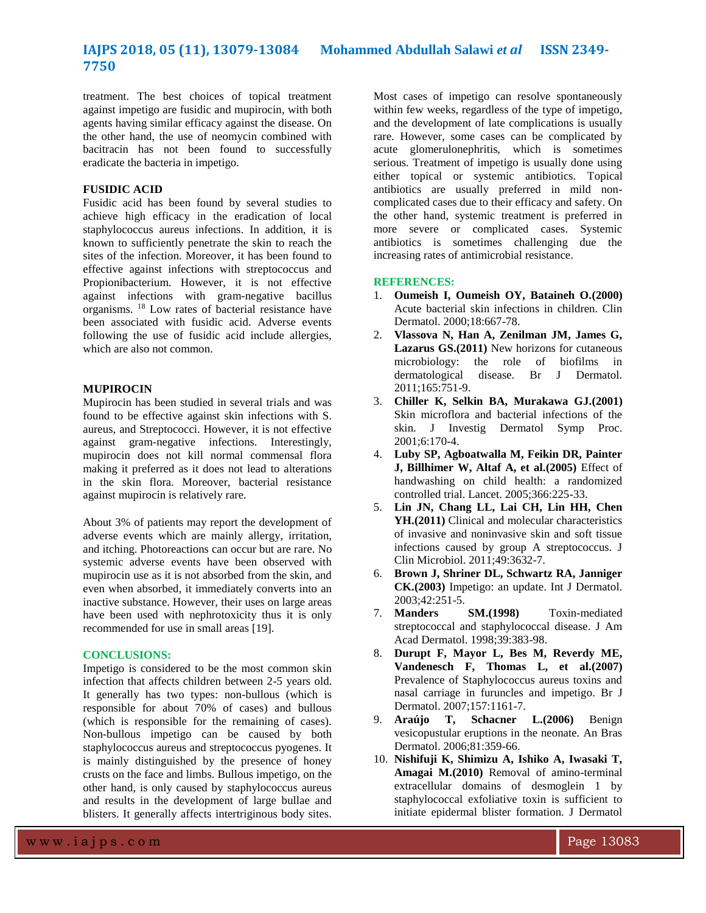treatment. The best choices of topical treatment against impetigo are fusidic and mupirocin, with both agents having similar efficacy against the disease. On the other hand, the use of neomycin combined with bacitracin has not been found to successfully eradicate the bacteria in impetigo.

# **FUSIDIC ACID**

Fusidic acid has been found by several studies to achieve high efficacy in the eradication of local staphylococcus aureus infections. In addition, it is known to sufficiently penetrate the skin to reach the sites of the infection. Moreover, it has been found to effective against infections with streptococcus and Propionibacterium. However, it is not effective against infections with gram-negative bacillus organisms. <sup>18</sup> Low rates of bacterial resistance have been associated with fusidic acid. Adverse events following the use of fusidic acid include allergies, which are also not common.

## **MUPIROCIN**

Mupirocin has been studied in several trials and was found to be effective against skin infections with S. aureus, and Streptococci. However, it is not effective against gram-negative infections. Interestingly, mupirocin does not kill normal commensal flora making it preferred as it does not lead to alterations in the skin flora. Moreover, bacterial resistance against mupirocin is relatively rare.

About 3% of patients may report the development of adverse events which are mainly allergy, irritation, and itching. Photoreactions can occur but are rare. No systemic adverse events have been observed with mupirocin use as it is not absorbed from the skin, and even when absorbed, it immediately converts into an inactive substance. However, their uses on large areas have been used with nephrotoxicity thus it is only recommended for use in small areas [19].

### **CONCLUSIONS:**

Impetigo is considered to be the most common skin infection that affects children between 2-5 years old. It generally has two types: non-bullous (which is responsible for about 70% of cases) and bullous (which is responsible for the remaining of cases). Non-bullous impetigo can be caused by both staphylococcus aureus and streptococcus pyogenes. It is mainly distinguished by the presence of honey crusts on the face and limbs. Bullous impetigo, on the other hand, is only caused by staphylococcus aureus and results in the development of large bullae and blisters. It generally affects intertriginous body sites.

Most cases of impetigo can resolve spontaneously within few weeks, regardless of the type of impetigo, and the development of late complications is usually rare. However, some cases can be complicated by acute glomerulonephritis, which is sometimes serious. Treatment of impetigo is usually done using either topical or systemic antibiotics. Topical antibiotics are usually preferred in mild noncomplicated cases due to their efficacy and safety. On the other hand, systemic treatment is preferred in more severe or complicated cases. Systemic antibiotics is sometimes challenging due the increasing rates of antimicrobial resistance.

#### **REFERENCES:**

- 1. **Oumeish I, Oumeish OY, Bataineh O.(2000)** Acute bacterial skin infections in children. Clin Dermatol. 2000;18:667-78.
- 2. **Vlassova N, Han A, Zenilman JM, James G, Lazarus GS.(2011)** New horizons for cutaneous microbiology: the role of biofilms in dermatological disease. Br J Dermatol. 2011;165:751-9.
- 3. **Chiller K, Selkin BA, Murakawa GJ.(2001)** Skin microflora and bacterial infections of the skin. J Investig Dermatol Symp Proc. 2001;6:170-4.
- 4. **Luby SP, Agboatwalla M, Feikin DR, Painter J, Billhimer W, Altaf A, et al.(2005)** Effect of handwashing on child health: a randomized controlled trial. Lancet. 2005;366:225-33.
- 5. **Lin JN, Chang LL, Lai CH, Lin HH, Chen YH.(2011)** Clinical and molecular characteristics of invasive and noninvasive skin and soft tissue infections caused by group A streptococcus. J Clin Microbiol. 2011;49:3632-7.
- 6. **Brown J, Shriner DL, Schwartz RA, Janniger CK.(2003)** Impetigo: an update. Int J Dermatol. 2003;42:251-5.
- 7. **Manders SM.(1998)** Toxin-mediated streptococcal and staphylococcal disease. J Am Acad Dermatol. 1998;39:383-98.
- 8. **Durupt F, Mayor L, Bes M, Reverdy ME, Vandenesch F, Thomas L, et al.(2007)**  Prevalence of Staphylococcus aureus toxins and nasal carriage in furuncles and impetigo. Br J Dermatol. 2007;157:1161-7.
- 9. **Araújo T, Schacner L.(2006)** Benign vesicopustular eruptions in the neonate. An Bras Dermatol. 2006;81:359-66.
- 10. **Nishifuji K, Shimizu A, Ishiko A, Iwasaki T, Amagai M.(2010)** Removal of amino-terminal extracellular domains of desmoglein 1 by staphylococcal exfoliative toxin is sufficient to initiate epidermal blister formation. J Dermatol